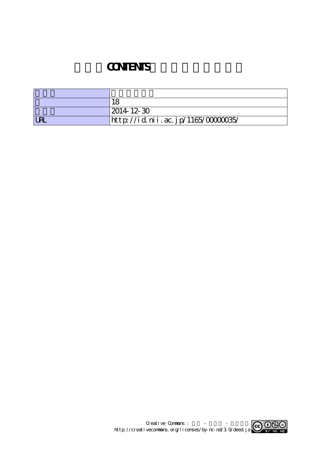## **CONTENTS**

|            | ם ו                               |
|------------|-----------------------------------|
|            | $ 2014 \t12 \t30$                 |
| <b>URL</b> | http://id.nii.ac.jp/1165/0000035/ |